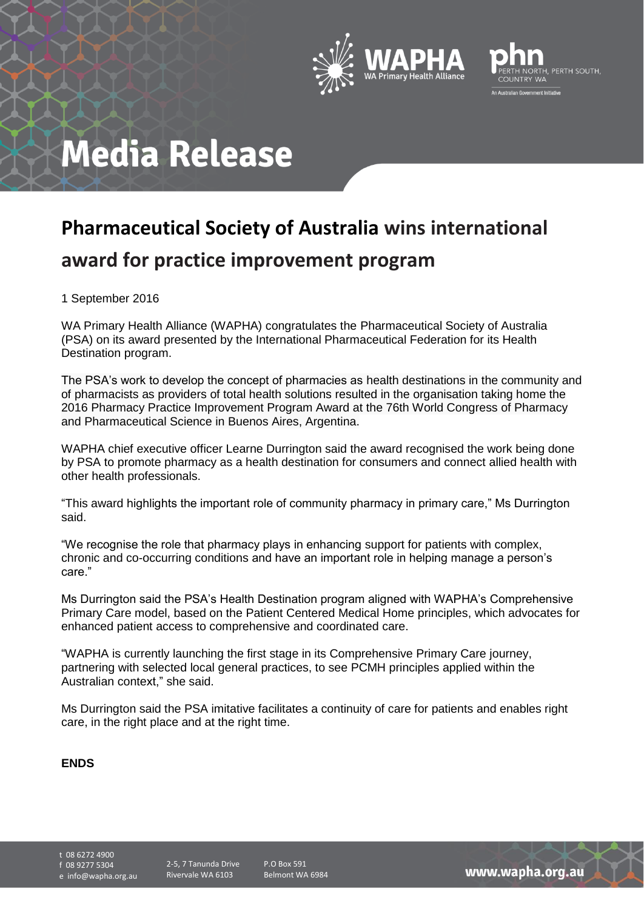



## **Media Release**

## **Pharmaceutical Society of Australia wins international award for practice improvement program**

1 September 2016

WA Primary Health Alliance (WAPHA) congratulates the Pharmaceutical Society of Australia (PSA) on its award presented by the International Pharmaceutical Federation for its Health Destination program.

The PSA's work to develop the concept of pharmacies as health destinations in the community and of pharmacists as providers of total health solutions resulted in the organisation taking home the 2016 Pharmacy Practice Improvement Program Award at the 76th World Congress of Pharmacy and Pharmaceutical Science in Buenos Aires, Argentina.

WAPHA chief executive officer Learne Durrington said the award recognised the work being done by PSA to promote pharmacy as a health destination for consumers and connect allied health with other health professionals.

"This award highlights the important role of community pharmacy in primary care," Ms Durrington said.

"We recognise the role that pharmacy plays in enhancing support for patients with complex, chronic and co-occurring conditions and have an important role in helping manage a person's care."

Ms Durrington said the PSA's Health Destination program aligned with WAPHA's Comprehensive Primary Care model, based on the Patient Centered Medical Home principles, which advocates for enhanced patient access to comprehensive and coordinated care.

"WAPHA is currently launching the first stage in its Comprehensive Primary Care journey, partnering with selected local general practices, to see PCMH principles applied within the Australian context," she said.

Ms Durrington said the PSA imitative facilitates a continuity of care for patients and enables right care, in the right place and at the right time.

## **ENDS**

t 08 6272 4900 f 08 9277 5304

e info@wapha.org.au

P.O Box 591 Belmont WA 6984

www.wapha.org.au